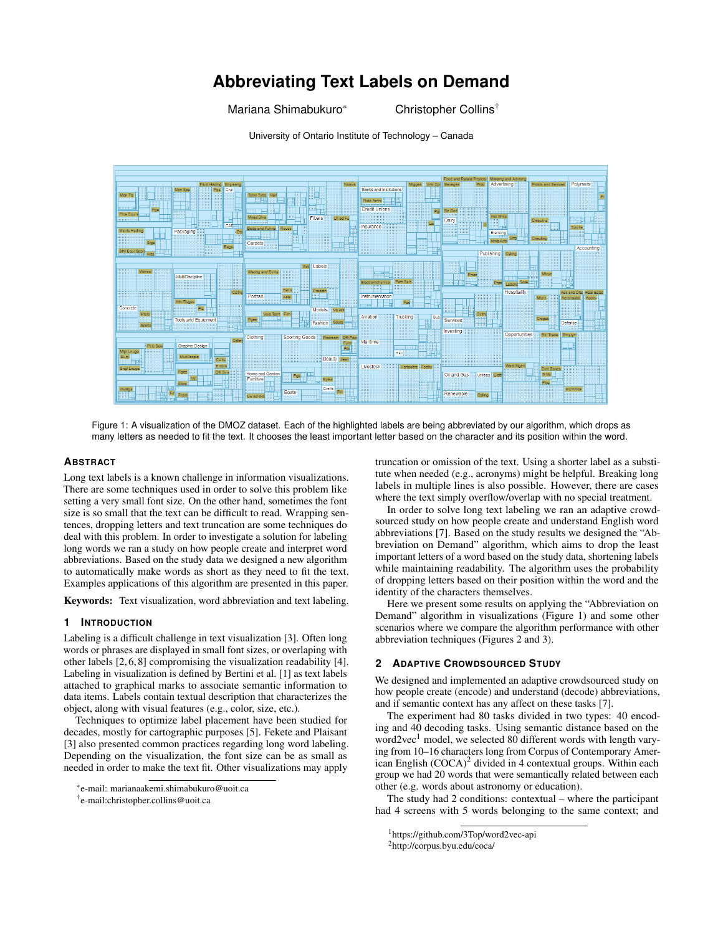# **Abbreviating Text Labels on Demand**

Mariana Shimabukuro\* Christopher Collins<sup>†</sup>

University of Ontario Institute of Technology – Canada



Figure 1: A visualization of the DMOZ dataset. Each of the highlighted labels are being abbreviated by our algorithm, which drops as many letters as needed to fit the text. It chooses the least important letter based on the character and its position within the word.

#### **ABSTRACT**

Long text labels is a known challenge in information visualizations. There are some techniques used in order to solve this problem like setting a very small font size. On the other hand, sometimes the font size is so small that the text can be difficult to read. Wrapping sentences, dropping letters and text truncation are some techniques do deal with this problem. In order to investigate a solution for labeling long words we ran a study on how people create and interpret word abbreviations. Based on the study data we designed a new algorithm to automatically make words as short as they need to fit the text. Examples applications of this algorithm are presented in this paper.

Keywords: Text visualization, word abbreviation and text labeling.

## **1 INTRODUCTION**

Labeling is a difficult challenge in text visualization [3]. Often long words or phrases are displayed in small font sizes, or overlaping with other labels [2, 6, 8] compromising the visualization readability [4]. Labeling in visualization is defined by Bertini et al. [1] as text labels attached to graphical marks to associate semantic information to data items. Labels contain textual description that characterizes the object, along with visual features (e.g., color, size, etc.).

Techniques to optimize label placement have been studied for decades, mostly for cartographic purposes [5]. Fekete and Plaisant [3] also presented common practices regarding long word labeling. Depending on the visualization, the font size can be as small as needed in order to make the text fit. Other visualizations may apply

truncation or omission of the text. Using a shorter label as a substitute when needed (e.g., acronyms) might be helpful. Breaking long labels in multiple lines is also possible. However, there are cases where the text simply overflow/overlap with no special treatment.

In order to solve long text labeling we ran an adaptive crowdsourced study on how people create and understand English word abbreviations [7]. Based on the study results we designed the "Abbreviation on Demand" algorithm, which aims to drop the least important letters of a word based on the study data, shortening labels while maintaining readability. The algorithm uses the probability of dropping letters based on their position within the word and the identity of the characters themselves.

Here we present some results on applying the "Abbreviation on Demand" algorithm in visualizations (Figure 1) and some other scenarios where we compare the algorithm performance with other abbreviation techniques (Figures 2 and 3).

#### **2 ADAPTIVE CROWDSOURCED STUDY**

We designed and implemented an adaptive crowdsourced study on how people create (encode) and understand (decode) abbreviations, and if semantic context has any affect on these tasks [7].

The experiment had 80 tasks divided in two types: 40 encoding and 40 decoding tasks. Using semantic distance based on the word2vec<sup>1</sup> model, we selected 80 different words with length varying from 10–16 characters long from Corpus of Contemporary American English (COCA)<sup>2</sup> divided in 4 contextual groups. Within each group we had 20 words that were semantically related between each other (e.g. words about astronomy or education).

The study had 2 conditions: contextual – where the participant had 4 screens with 5 words belonging to the same context; and

<sup>\*</sup>e-mail: marianaakemi.shimabukuro@uoit.ca

<sup>†</sup> e-mail:christopher.collins@uoit.ca

<sup>1</sup>https://github.com/3Top/word2vec-api

<sup>2</sup>http://corpus.byu.edu/coca/